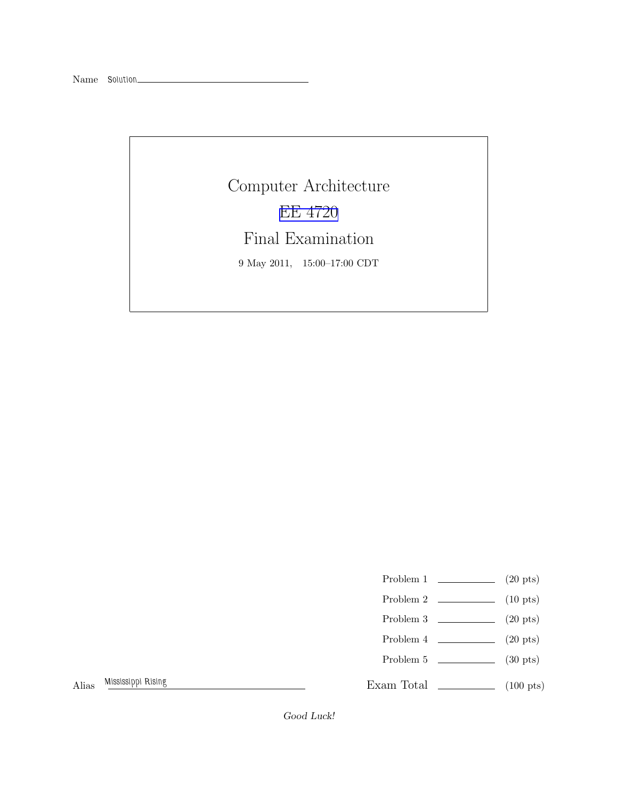Computer Architecture [EE 4720](http://www.ece.lsu.edu/ee4720/) Final Examination 9 May 2011, 15:00–17:00 CDT

Problem 1  $\qquad \qquad$  (20 pts)

- Problem  $2 \t(10 \text{ pts})$
- Problem 3  $\qquad \qquad (20 \text{ pts})$
- Problem 4  $\qquad \qquad (20 \text{ pts})$
- Problem 5 (30 pts)

Alias Mississippi Rising

Exam Total \_\_\_\_\_\_\_\_\_\_\_\_\_ (100 pts)

Good Luck!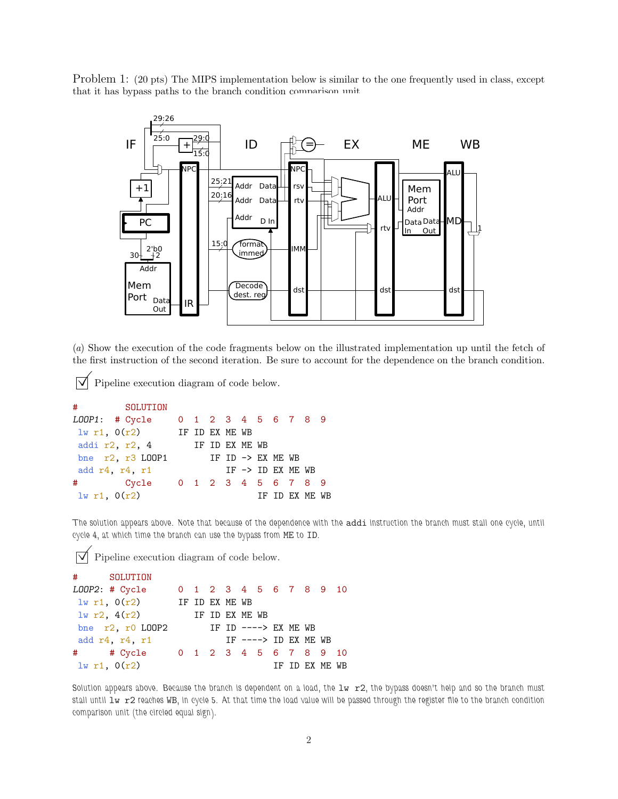Problem 1: (20 pts) The MIPS implementation below is similar to the one frequently used in class, except that it has bypass paths to the branch condition comparison unit.



(*a*) Show the execution of the code fragments below on the illustrated implementation up until the fetch of the first instruction of the second iteration. Be sure to account for the dependence on the branch condition.

 $\triangledown$  Pipeline execution diagram of code below.

```
# SOLUTION
LOOP1: # Cycle 0 1 2 3 4 5 6 7 8 9
lw r1, O(r2) IF ID EX ME WB
addi r2, r2, 4 IF ID EX ME WB
bne r2, r3 LOOP1 IF ID \rightarrow EX ME WB
add r4, r4, r1 IF \rightarrow ID EX ME WB
# Cycle 0 1 2 3 4 5 6 7 8 9
\frac{1}{W} r1, 0(r2) IF ID EX ME WB
```
The solution appears above. Note that because of the dependence with the addi instruction the branch must stall one cycle, until cycle 4, at which time the branch can use the bypass from ME to ID.

 $\triangledown$  Pipeline execution diagram of code below.

```
# SOLUTION
LOOP2: # Cycle 0 1 2 3 4 5 6 7 8 9 10
lw r1, O(r2) IF ID EX ME WB
lw r2, 4(r2) IF ID EX ME WB
bne r2, r0 LOOP2 IF ID ----> EX ME WB
add r4, r4, r1 IF ----> ID EX ME WB
# # Cycle 0 1 2 3 4 5 6 7 8 9 10
\frac{1}{\pi} if id EX ME WB
```
Solution appears above. Because the branch is dependent on a load, the  $1w$   $r2$ , the bypass doesn't help and so the branch must stall until 1w r2 reaches WB, in cycle 5. At that time the load value will be passed through the register file to the branch condition comparison unit (the circled equal sign).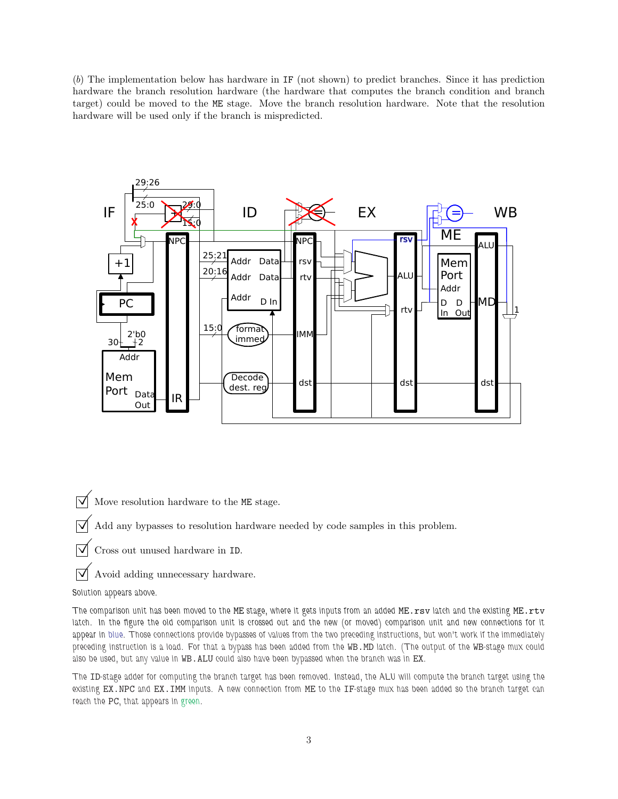(*b*) The implementation below has hardware in IF (not shown) to predict branches. Since it has prediction hardware the branch resolution hardware (the hardware that computes the branch condition and branch target) could be moved to the ME stage. Move the branch resolution hardware. Note that the resolution hardware will be used only if the branch is mispredicted.



 $\triangledown$  Move resolution hardware to the ME stage.

 $\overrightarrow{\mathcal{A}}$  Add any bypasses to resolution hardware needed by code samples in this problem.

 $\triangledown$  Cross out unused hardware in ID.

 $\triangledown$  Avoid adding unnecessary hardware.

Solution appears above.

The comparison unit has been moved to the ME stage, where it gets inputs from an added ME.rsv latch and the existing ME.rtv latch. In the figure the old comparison unit is crossed out and the new (or moved) comparison unit and new connections for it appear in blue. Those connections provide bypasses of values from the two preceding instructions, but won't work if the immediately preceding instruction is a load. For that a bypass has been added from the WB.MD latch. (The output of the WB-stage mux could also be used, but any value in WB.ALU could also have been bypassed when the branch was in EX.

The ID-stage adder for computing the branch target has been removed. Instead, the ALU will compute the branch target using the existing EX.NPC and EX.IMM inputs. A new connection from ME to the IF-stage mux has been added so the branch target can reach the PC, that appears in green.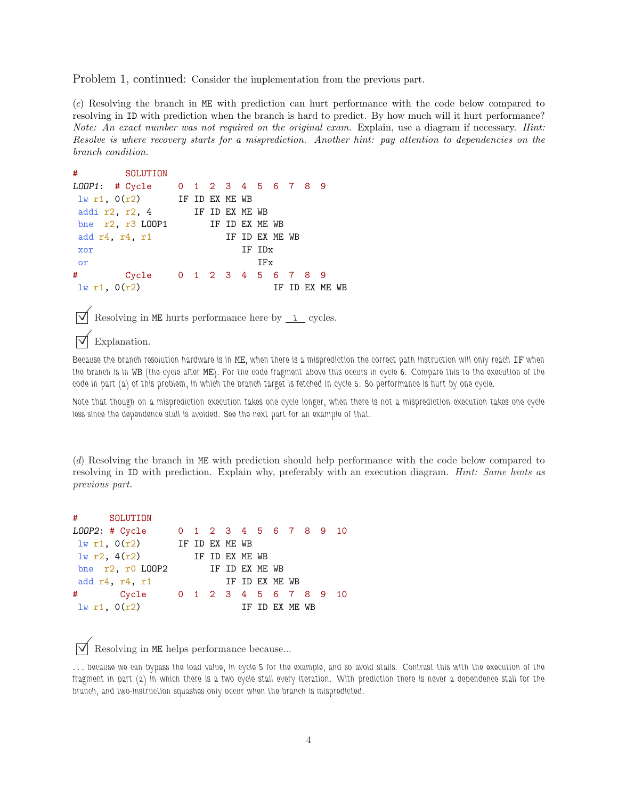Problem 1, continued: Consider the implementation from the previous part.

(*c*) Resolving the branch in ME with prediction can hurt performance with the code below compared to resolving in ID with prediction when the branch is hard to predict. By how much will it hurt performance? *Note: An exact number was not required on the original exam.* Explain, use a diagram if necessary. *Hint: Resolve is where recovery starts for a misprediction. Another hint: pay attention to dependencies on the branch condition.*



Because the branch resolution hardware is in ME, when there is a misprediction the correct path instruction will only reach IF when the branch is in WB (the cycle after ME). For the code fragment above this occurs in cycle 6. Compare this to the execution of the code in part (a) of this problem, in which the branch target is fetched in cycle 5. So performance is hurt by one cycle.

Note that though on a misprediction execution takes one cycle longer, when there is not a misprediction execution takes one cycle less since the dependence stall is avoided. See the next part for an example of that.

(*d*) Resolving the branch in ME with prediction should help performance with the code below compared to resolving in ID with prediction. Explain why, preferably with an execution diagram. *Hint: Same hints as previous part.*

|                                      | # SOLUTION                     |  |  |  |                |  |                |                        |  |
|--------------------------------------|--------------------------------|--|--|--|----------------|--|----------------|------------------------|--|
|                                      | $LOOP2:$ # $Cycle$             |  |  |  |                |  |                | 0 1 2 3 4 5 6 7 8 9 10 |  |
| $1w r1$ , $0(r2)$ IF ID EX ME WB     |                                |  |  |  |                |  |                |                        |  |
| 1w r2, 4(r2)                         |                                |  |  |  | IF ID EX ME WB |  |                |                        |  |
| bne $r2$ , $r0$ LOOP2 IF ID EX ME WB |                                |  |  |  |                |  |                |                        |  |
| add $r4$ , $r4$ , $r1$               |                                |  |  |  | IF ID EX ME WB |  |                |                        |  |
|                                      | # Cycle 0 1 2 3 4 5 6 7 8 9 10 |  |  |  |                |  |                |                        |  |
| 1w r1, 0(r2)                         |                                |  |  |  |                |  | TF TD FX MF WB |                        |  |

 $\triangledown$  Resolving in ME helps performance because...

... because we can bypass the load value, in cycle 5 for the example, and so avoid stalls. Contrast this with the execution of the fragment in part (a) in which there is a two cycle stall every iteration. With prediction there is never a dependence stall for the branch, and two-instruction squashes only occur when the branch is mispredicted.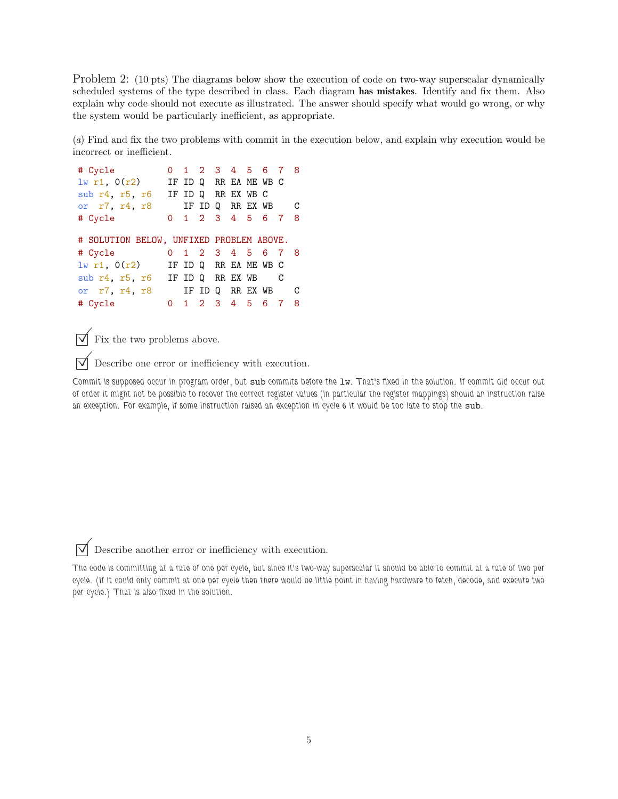Problem 2: (10 pts) The diagrams below show the execution of code on two-way superscalar dynamically scheduled systems of the type described in class. Each diagram has mistakes. Identify and fix them. Also explain why code should not execute as illustrated. The answer should specify what would go wrong, or why the system would be particularly inefficient, as appropriate.

(*a*) Find and fix the two problems with commit in the execution below, and explain why execution would be incorrect or inefficient.

```
# Cycle 0 1 2 3 4 5 6 7 8
lw r1, O(r2) IF ID Q RR EA ME WB C
sub r4, r5, r6 IF ID Q RR EX WB C
or r7, r4, r8 IF ID Q RR EX WB C
# Cycle 0 1 2 3 4 5 6 7 8
# SOLUTION BELOW, UNFIXED PROBLEM ABOVE.
# Cycle 0 1 2 3 4 5 6 7 8
\exists w \text{ r1, } O(r2) IF ID Q RR EA ME WB C
sub r4, r5, r6 IF ID Q RR EX WB C
or r7, r4, r8 IF ID Q RR EX WB C
# Cycle 0 1 2 3 4 5 6 7 8
```
 $\overrightarrow{\mathbf{V}}$  Fix the two problems above.

 $\triangledown$  Describe one error or inefficiency with execution.

Commit is supposed occur in program order, but sub commits before the lw. That's fixed in the solution. If commit did occur out of order it might not be possible to recover the correct register values (in particular the register mappings) should an instruction raise an exception. For example, if some instruction raised an exception in cycle 6 it would be too late to stop the sub.

 $\triangledown$  Describe another error or inefficiency with execution.

The code is committing at a rate of one per cycle, but since it's two-way superscalar it should be able to commit at a rate of two per cycle. (If it could only commit at one per cycle then there would be little point in having hardware to fetch, decode, and execute two per cycle.) That is also fixed in the solution.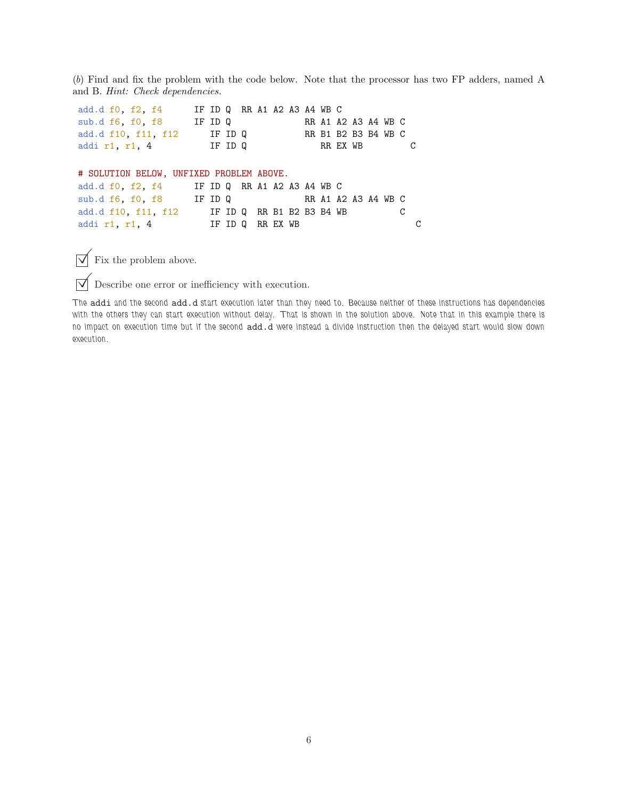(*b*) Find and fix the problem with the code below. Note that the processor has two FP adders, named A and B. *Hint: Check dependencies.*

add.d f0, f2, f4 IF ID Q RR A1 A2 A3 A4 WB C sub.d f6, f0, f8 IF ID Q RR A1 A2 A3 A4 WB C add.d f10, f11, f12 IF ID Q RR B1 B2 B3 B4 WB C addi r1, r1, 4 IF ID Q RR EX WB C # SOLUTION BELOW, UNFIXED PROBLEM ABOVE. add.d f0, f2, f4 IF ID Q RR A1 A2 A3 A4 WB C sub.d f6, f0, f8 IF ID Q RR A1 A2 A3 A4 WB C add.d f10, f11, f12 IF ID Q RR B1 B2 B3 B4 WB C addi r1, r1, 4 IF ID Q RR EX WB C

 $\overrightarrow{\mathbf{y}}$  Fix the problem above.

 $\triangledown$  Describe one error or inefficiency with execution.

The addi and the second add.d start execution later than they need to. Because neither of these instructions has dependencies with the others they can start execution without delay. That is shown in the solution above. Note that in this example there is no impact on execution time but if the second add.d were instead a divide instruction then the delayed start would slow down execution.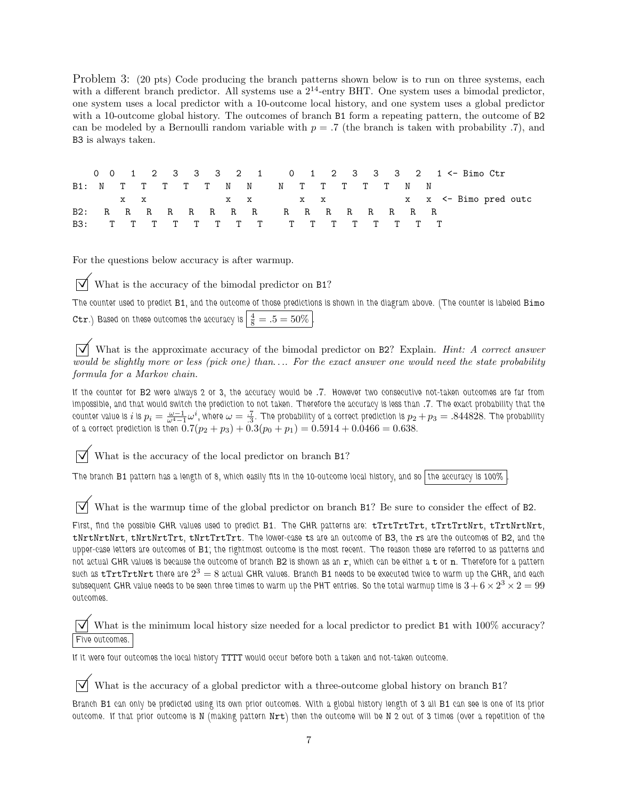Problem 3: (20 pts) Code producing the branch patterns shown below is to run on three systems, each with a different branch predictor. All systems use a  $2^{14}$ -entry BHT. One system uses a bimodal predictor, one system uses a local predictor with a 10-outcome local history, and one system uses a global predictor with a 10-outcome global history. The outcomes of branch B1 form a repeating pattern, the outcome of B2 can be modeled by a Bernoulli random variable with  $p = .7$  (the branch is taken with probability .7), and B3 is always taken.

0 0 1 2 3 3 3 2 1 0 1 2 3 3 3 2 1 <- Bimo Ctr B1: N T T T T T N N N T T T T T N N x x x x x x x x <- Bimo pred outc B2: R R R R R R R R R R R R R R R R B3: T T T T T T T T T T T T T T T T

For the questions below accuracy is after warmup.

What is the accuracy of the bimodal predictor on B1?

The counter used to predict B1, and the outcome of those predictions is shown in the diagram above. (The counter is labeled Bimo **Ctr**.) Based on these outcomes the accuracy is  $\frac{4}{8} = .5 = 50\%$ .

 What is the approximate accuracy of the bimodal predictor on B2? Explain. *Hint: A correct answer would be slightly more or less (pick one) than*. . .*. For the exact answer one would need the state probability formula for a Markov chain.*

If the counter for B2 were always 2 or 3, the accuracy would be .7. However two consecutive not-taken outcomes are far from impossible, and that would switch the prediction to not taken. Therefore the accuracy is less than .7. The exact probability that the counter value is  $i$  is  $p_i=\frac{\omega-1}{\omega^4-1}\omega^i$ , where  $\omega=\frac{.7}{.3}.$  The probability of a correct prediction is  $p_2+p_3=.844828.$  The probability of a correct prediction is then  $0.7(p_2 + p_3) + 0.3(p_0 + p_1) = 0.5914 + 0.0466 = 0.638$ .

What is the accuracy of the local predictor on branch B1?

The branch B1 pattern has a length of 8, which easily fits in the 10-outcome local history, and so the accuracy is 100%

 $\triangledown$  What is the warmup time of the global predictor on branch B1? Be sure to consider the effect of B2.

First, find the possible GHR values used to predict B1. The GHR patterns are: tTrtTrtTrt, tTrtTrtNrt, tTrtNrtNrt, tNrtNrtNrt, tNrtNrtTrt, tNrtTrtTrt. The lower-case ts are an outcome of B3, the rs are the outcomes of B2, and the upper-case letters are outcomes of B1; the rightmost outcome is the most recent. The reason these are referred to as patterns and not actual GHR values is because the outcome of branch  $B2$  is shown as an  $r$ , which can be either a  $t$  or  $n$ . Therefore for a pattern such as  $\mathtt{tTrtTrtNrt}$  there are  $2^3=8$  actual GHR values. Branch B1 needs to be executed twice to warm up the GHR, and each subsequent GHR value needs to be seen three times to warm up the PHT entries. So the total warmup time is  $3+6\times2^3\times2=99$ outcomes.

What is the minimum local history size needed for a local predictor to predict B1 with  $100\%$  accuracy? Five outcomes.

If it were four outcomes the local history TTTT would occur before both a taken and not-taken outcome.

 $\triangledown$  What is the accuracy of a global predictor with a three-outcome global history on branch B1?

Branch B1 can only be predicted using its own prior outcomes. With a global history length of 3 all B1 can see is one of its prior outcome. If that prior outcome is N (making pattern  $Nrt$ ) then the outcome will be N 2 out of 3 times (over a repetition of the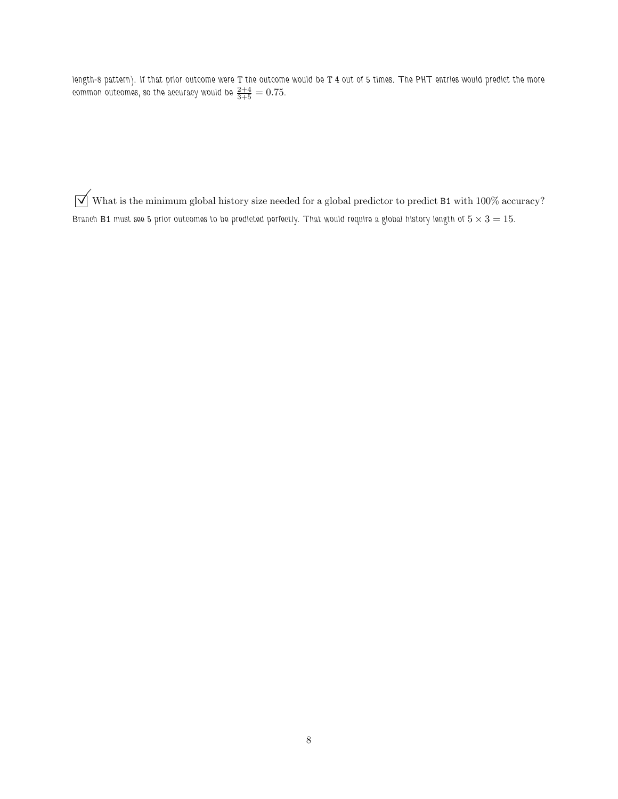length-8 pattern). If that prior outcome were T the outcome would be T 4 out of 5 times. The PHT entries would predict the more common outcomes, so the accuracy would be  $\frac{2+4}{3+5}=0.75.$ 

 $\sqrt{\phantom{a}}$  What is the minimum global history size needed for a global predictor to predict B1 with 100% accuracy? Branch B1 must see 5 prior outcomes to be predicted perfectly. That would require a global history length of  $5 \times 3 = 15$ .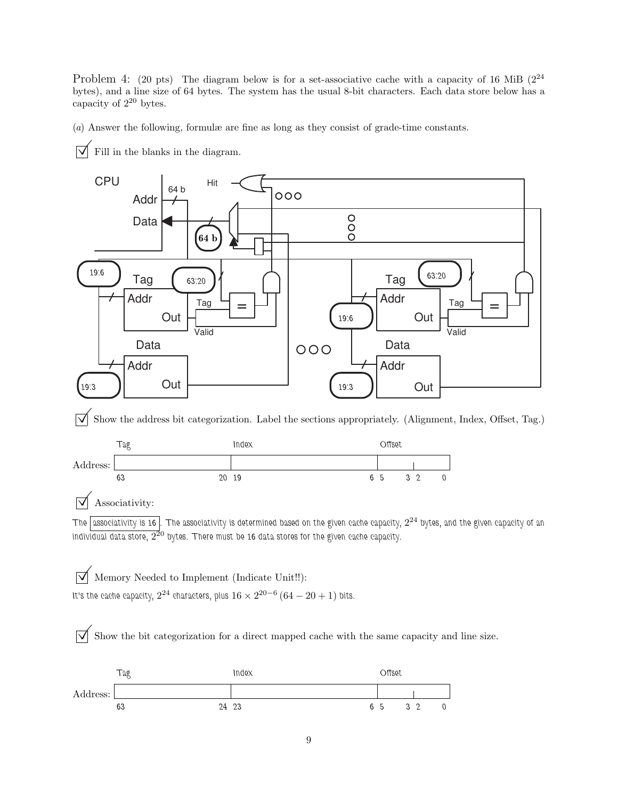Problem 4: (20 pts) The diagram below is for a set-associative cache with a capacity of 16 MiB  $(2^{24}$ bytes), and a line size of 64 bytes. The system has the usual 8-bit characters. Each data store below has a capacity of  $2^{20}$  bytes.

(*a*) Answer the following, formulæ are fine as long as they consist of grade-time constants.

 $\overrightarrow{\phantom{a}}$  Fill in the blanks in the diagram.



 $\overline{\bigvee}$  Show the address bit categorization. Label the sections appropriately. (Alignment, Index, Offset, Tag.)



## $\overline{\vee}$  Associativity:

The  $\lceil$  associativity is 16  $\rceil$ . The associativity is determined based on the given cache capacity,  $2^{24}$  bytes, and the given capacity of an individual data store,  $2^{\overline{2}0}$  bytes. There must be 16 data stores for the given cache capacity.

 $\overrightarrow{\mathcal{M}}$  Memory Needed to Implement (Indicate Unit!!): It's the cache capacity,  $2^{24}$  characters, plus  $16 \times 2^{20-6} \left(64-20+1\right)$  bits.

 $\overline{\vee}$  Show the bit categorization for a direct mapped cache with the same capacity and line size.

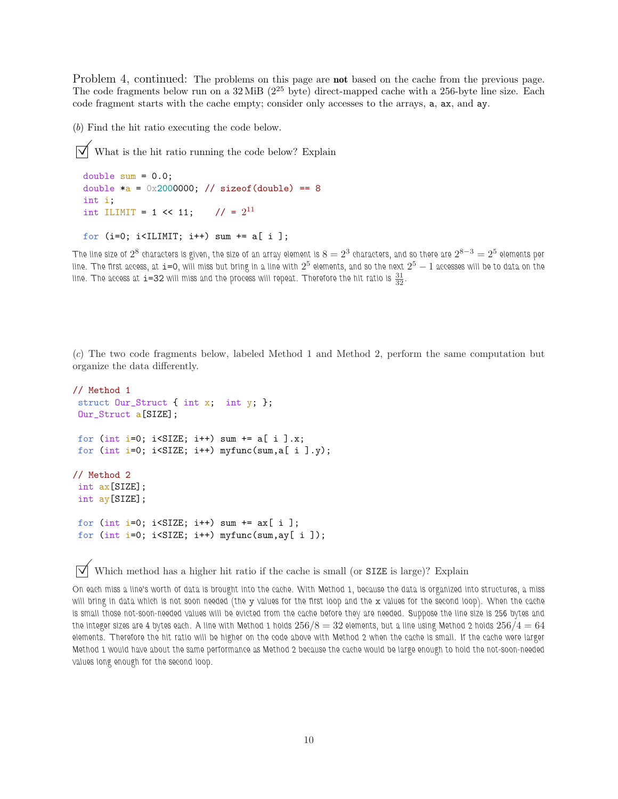Problem 4, continued: The problems on this page are **not** based on the cache from the previous page. The code fragments below run on a  $32 \text{ MiB}$  ( $2^{25}$  byte) direct-mapped cache with a 256-byte line size. Each code fragment starts with the cache empty; consider only accesses to the arrays, a, ax, and ay.

(*b*) Find the hit ratio executing the code below.

 $\triangledown$  What is the hit ratio running the code below? Explain

```
double sum = 0.0;
double a = 0x2000000; // sizeof(double) == 8
int i;
int ILIMIT = 1 << 11; // = 2^{11}
```
for (i=0; i<ILIMIT; i++) sum += a[ i ];

The line size of  $2^8$  characters is given, the size of an array element is  $8=2^3$  characters, and so there are  $2^{8-3}=2^5$  elements per line. The first access, at  $\texttt{i=0}$ , will miss but bring in a line with  $2^5$  elements, and so the next  $2^5-1$  accesses will be to data on the line. The access at  $i=$  32 will miss and the process will repeat. Therefore the hit ratio is  $\frac{31}{32}$ .

(*c*) The two code fragments below, labeled Method 1 and Method 2, perform the same computation but organize the data differently.

```
// Method 1
struct Our_Struct { int x; int y; };
Our_Struct a[SIZE];
for (int i=0; i<SIZE; i++) sum += a[ i ].x;
for (int i=0; i<SIZE; i++) myfunc(sum, a[ i ].y);
// Method 2
int ax[SIZE];
int ay[SIZE];
for (int i=0; i<SIZE; i++) sum += ax[i];
for (int i=0; i<SIZE; i++) myfunc(sum,ay[ i ]);
```
 $\overrightarrow{V}$  Which method has a higher hit ratio if the cache is small (or SIZE is large)? Explain

On each miss a line's worth of data is brought into the cache. With Method 1, because the data is organized into structures, a miss will bring in data which is not soon needed (the y values for the first loop and the x values for the second loop). When the cache is small those not-soon-needed values will be evicted from the cache before they are needed. Suppose the line size is 256 bytes and the integer sizes are 4 bytes each. A line with Method 1 holds  $256/8 = 32$  elements, but a line using Method 2 holds  $256/4 = 64$ elements. Therefore the hit ratio will be higher on the code above with Method 2 when the cache is small. If the cache were larger Method 1 would have about the same performance as Method 2 because the cache would be large enough to hold the not-soon-needed values long enough for the second loop.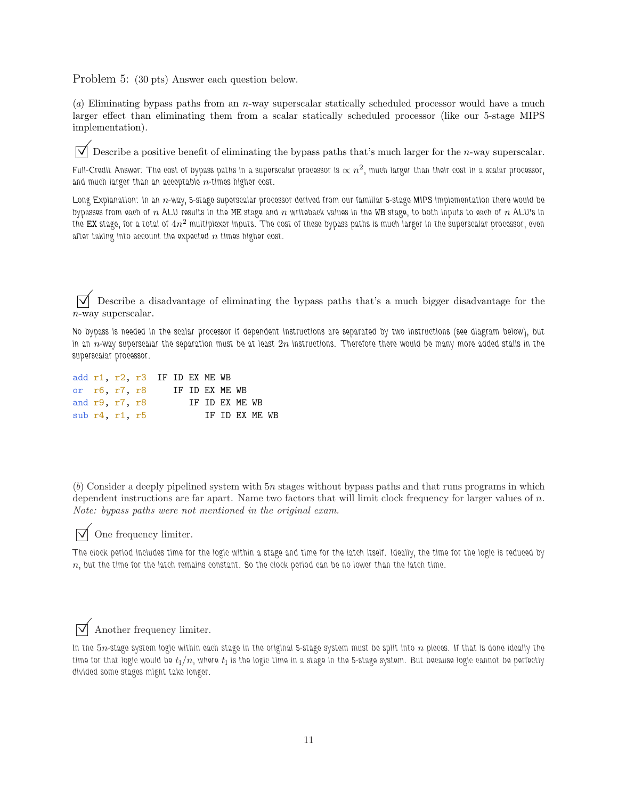Problem 5: (30 pts) Answer each question below.

(*a*) Eliminating bypass paths from an n-way superscalar statically scheduled processor would have a much larger effect than eliminating them from a scalar statically scheduled processor (like our 5-stage MIPS implementation).

 $\overrightarrow{V}$  Describe a positive benefit of eliminating the bypass paths that's much larger for the *n*-way superscalar.

Full-Credit Answer: The cost of bypass paths in a superscalar processor is  $\propto n^2$ , much larger than their cost in a scalar processor, and much larger than an acceptable  $n$ -times higher cost.

Long Explanation: In an n-way, 5-stage superscalar processor derived from our familiar 5-stage MIPS implementation there would be bypasses from each of n ALU results in the ME stage and n writeback values in the WB stage, to both inputs to each of n ALU's in the  ${\tt EX}$  stage, for a total of  $4n^2$  multiplexer inputs. The cost of these bypass paths is much larger in the superscalar processor, even after taking into account the expected  $n$  times higher cost.

 $\overrightarrow{\mathsf{V}}$  Describe a disadvantage of eliminating the bypass paths that's a much bigger disadvantage for the n-way superscalar.

No bypass is needed in the scalar processor if dependent instructions are separated by two instructions (see diagram below), but in an  $n$ -way superscalar the separation must be at least  $2n$  instructions. Therefore there would be many more added stalls in the superscalar processor.

|  | add $r1$ , $r2$ , $r3$ IF ID EX ME WB |                |  |                |  |                 |  |
|--|---------------------------------------|----------------|--|----------------|--|-----------------|--|
|  | or r6 r7 r8                           | IF ID EX ME WB |  |                |  |                 |  |
|  | and $r9$ , $r7$ , $r8$                |                |  | IF ID EX ME WB |  |                 |  |
|  | sub $r4$ , $r1$ , $r5$                |                |  |                |  | TF TD FX MF. WB |  |

(*b*) Consider a deeply pipelined system with 5n stages without bypass paths and that runs programs in which dependent instructions are far apart. Name two factors that will limit clock frequency for larger values of n. *Note: bypass paths were not mentioned in the original exam.*



## $\triangledown$  One frequency limiter.

The clock period includes time for the logic within a stage and time for the latch itself. Ideally, the time for the logic is reduced by  $n$ , but the time for the latch remains constant. So the clock period can be no lower than the latch time.

## $\sqrt{\phantom{a}}$  Another frequency limiter.

In the  $5n$ -stage system logic within each stage in the original 5-stage system must be split into  $n$  pieces. If that is done ideally the time for that logic would be  $t_{\rm l}/n$ , where  $t_{\rm l}$  is the logic time in a stage in the 5-stage system. But because logic cannot be perfectly divided some stages might take longer.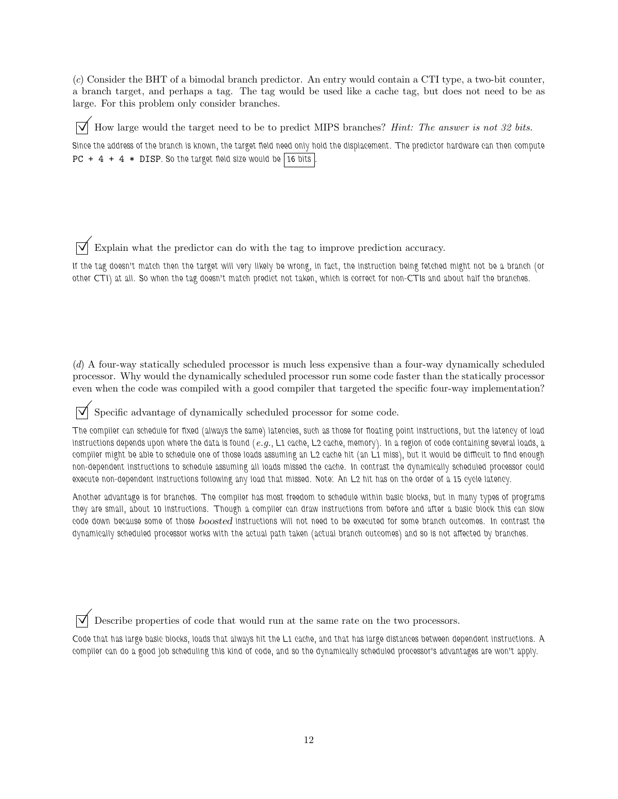(*c*) Consider the BHT of a bimodal branch predictor. An entry would contain a CTI type, a two-bit counter, a branch target, and perhaps a tag. The tag would be used like a cache tag, but does not need to be as large. For this problem only consider branches.

 $\Box$  How large would the target need to be to predict MIPS branches? *Hint: The answer is not 32 bits.* Since the address of the branch is known, the target field need only hold the displacement. The predictor hardware can then compute PC + 4 + 4  $*$  DISP. So the target field size would be 16 bits

Explain what the predictor can do with the tag to improve prediction accuracy.

If the tag doesn't match then the target will very likely be wrong, in fact, the instruction being fetched might not be a branch (or other CTI) at all. So when the tag doesn't match predict not taken, which is correct for non-CTIs and about half the branches.

(*d*) A four-way statically scheduled processor is much less expensive than a four-way dynamically scheduled processor. Why would the dynamically scheduled processor run some code faster than the statically processor even when the code was compiled with a good compiler that targeted the specific four-way implementation?

Specific advantage of dynamically scheduled processor for some code.

The compiler can schedule for fixed (always the same) latencies, such as those for floating point instructions, but the latency of load instructions depends upon where the data is found (*e.g.*, L1 cache, L2 cache, memory). In a region of code containing several loads, a compiler might be able to schedule one of those loads assuming an L2 cache hit (an L1 miss), but it would be difficult to find enough non-dependent instructions to schedule assuming all loads missed the cache. In contrast the dynamically scheduled processor could execute non-dependent instructions following any load that missed. Note: An L2 hit has on the order of a 15 cycle latency.

Another advantage is for branches. The compiler has most freedom to schedule within basic blocks, but in many types of programs they are small, about 10 instructions. Though a compiler can draw instructions from before and after a basic block this can slow code down because some of those boosted instructions will not need to be executed for some branch outcomes. In contrast the dynamically scheduled processor works with the actual path taken (actual branch outcomes) and so is not affected by branches.

Describe properties of code that would run at the same rate on the two processors.

Code that has large basic blocks, loads that always hit the L1 cache, and that has large distances between dependent instructions. A compiler can do a good job scheduling this kind of code, and so the dynamically scheduled processor's advantages are won't apply.